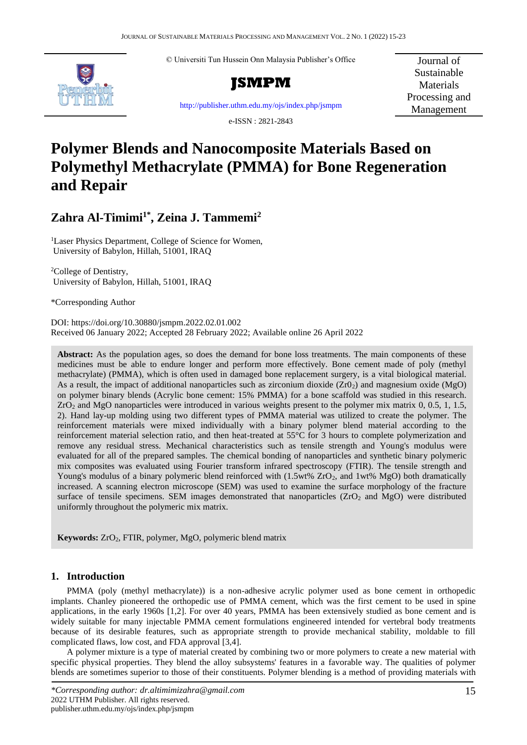© Universiti Tun Hussein Onn Malaysia Publisher's Office





Journal of Sustainable **Materials** Processing and Management

<http://publisher.uthm.edu.my/ojs/index.php/jsmpm>

e-ISSN : 2821-2843

# **Polymer Blends and Nanocomposite Materials Based on Polymethyl Methacrylate (PMMA) for Bone Regeneration and Repair**

# **Zahra Al-Timimi1\* , Zeina J. Tammemi<sup>2</sup>**

<sup>1</sup>Laser Physics Department, College of Science for Women, University of Babylon, Hillah, 51001, IRAQ

<sup>2</sup>College of Dentistry, University of Babylon, Hillah, 51001, IRAQ

\*Corresponding Author

DOI: https://doi.org/10.30880/jsmpm.2022.02.01.002 Received 06 January 2022; Accepted 28 February 2022; Available online 26 April 2022

**Abstract:** As the population ages, so does the demand for bone loss treatments. The main components of these medicines must be able to endure longer and perform more effectively. Bone cement made of poly (methyl methacrylate) (PMMA), which is often used in damaged bone replacement surgery, is a vital biological material. As a result, the impact of additional nanoparticles such as zirconium dioxide  $(Zr0<sub>2</sub>)$  and magnesium oxide (MgO) on polymer binary blends (Acrylic bone cement: 15% PMMA) for a bone scaffold was studied in this research. ZrO<sup>2</sup> and MgO nanoparticles were introduced in various weights present to the polymer mix matrix 0, 0.5, 1, 1.5, 2). Hand lay-up molding using two different types of PMMA material was utilized to create the polymer. The reinforcement materials were mixed individually with a binary polymer blend material according to the reinforcement material selection ratio, and then heat-treated at 55°C for 3 hours to complete polymerization and remove any residual stress. Mechanical characteristics such as tensile strength and Young's modulus were evaluated for all of the prepared samples. The chemical bonding of nanoparticles and synthetic binary polymeric mix composites was evaluated using Fourier transform infrared spectroscopy (FTIR). The tensile strength and Young's modulus of a binary polymeric blend reinforced with  $(1.5wt\% ZrO<sub>2</sub>)$ , and  $1wt\% MgO$ ) both dramatically increased. A scanning electron microscope (SEM) was used to examine the surface morphology of the fracture surface of tensile specimens. SEM images demonstrated that nanoparticles  $(ZrO<sub>2</sub>$  and MgO) were distributed uniformly throughout the polymeric mix matrix.

**Keywords:** ZrO2, FTIR, polymer, MgO, polymeric blend matrix

## **1. Introduction**

PMMA (poly (methyl methacrylate)) is a non-adhesive acrylic polymer used as bone cement in orthopedic implants. Chanley pioneered the orthopedic use of PMMA cement, which was the first cement to be used in spine applications, in the early 1960s [1,2]. For over 40 years, PMMA has been extensively studied as bone cement and is widely suitable for many injectable PMMA cement formulations engineered intended for vertebral body treatments because of its desirable features, such as appropriate strength to provide mechanical stability, moldable to fill complicated flaws, low cost, and FDA approval [3,4].

A polymer mixture is a type of material created by combining two or more polymers to create a new material with specific physical properties. They blend the alloy subsystems' features in a favorable way. The qualities of polymer blends are sometimes superior to those of their constituents. Polymer blending is a method of providing materials with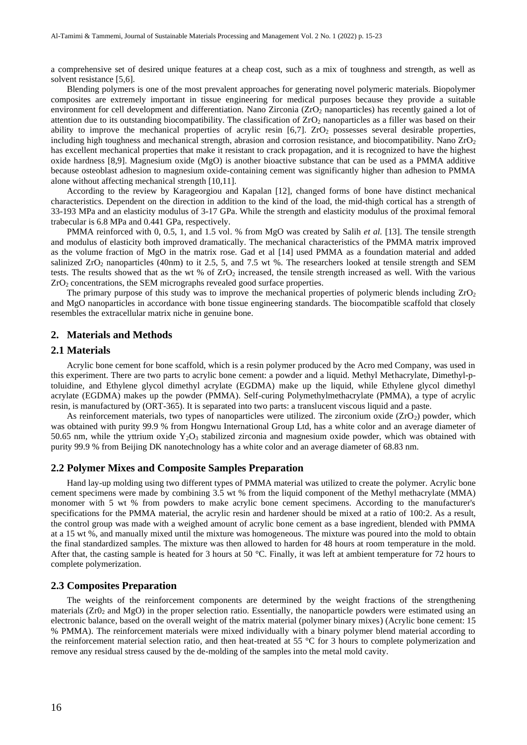a comprehensive set of desired unique features at a cheap cost, such as a mix of toughness and strength, as well as solvent resistance [5,6].

Blending polymers is one of the most prevalent approaches for generating novel polymeric materials. Biopolymer composites are extremely important in tissue engineering for medical purposes because they provide a suitable environment for cell development and differentiation. Nano Zirconia (ZrO2 nanoparticles) has recently gained a lot of attention due to its outstanding biocompatibility. The classification of ZrO<sub>2</sub> nanoparticles as a filler was based on their ability to improve the mechanical properties of acrylic resin  $[6,7]$ .  $ZrO<sub>2</sub>$  possesses several desirable properties, including high toughness and mechanical strength, abrasion and corrosion resistance, and biocompatibility. Nano  $ZrO<sub>2</sub>$ has excellent mechanical properties that make it resistant to crack propagation, and it is recognized to have the highest oxide hardness [8,9]. Magnesium oxide (MgO) is another bioactive substance that can be used as a PMMA additive because osteoblast adhesion to magnesium oxide-containing cement was significantly higher than adhesion to PMMA alone without affecting mechanical strength [10,11].

According to the review by Karageorgiou and Kapalan [12], changed forms of bone have distinct mechanical characteristics. Dependent on the direction in addition to the kind of the load, the mid-thigh cortical has a strength of 33-193 MPa and an elasticity modulus of 3-17 GPa. While the strength and elasticity modulus of the proximal femoral trabecular is 6.8 MPa and 0.441 GPa, respectively.

PMMA reinforced with 0, 0.5, 1, and 1.5 vol. % from MgO was created by Salih *et al.* [13]. The tensile strength and modulus of elasticity both improved dramatically. The mechanical characteristics of the PMMA matrix improved as the volume fraction of MgO in the matrix rose. Gad et al [14] used PMMA as a foundation material and added salinized  $ZrO<sub>2</sub>$  nanoparticles (40nm) to it 2.5, 5, and 7.5 wt %. The researchers looked at tensile strength and SEM tests. The results showed that as the wt % of  $ZrO<sub>2</sub>$  increased, the tensile strength increased as well. With the various  $ZrO<sub>2</sub>$  concentrations, the SEM micrographs revealed good surface properties.

The primary purpose of this study was to improve the mechanical properties of polymeric blends including ZrO<sub>2</sub> and MgO nanoparticles in accordance with bone tissue engineering standards. The biocompatible scaffold that closely resembles the extracellular matrix niche in genuine bone.

#### **2. Materials and Methods**

#### **2.1 Materials**

Acrylic bone cement for bone scaffold, which is a resin polymer produced by the Acro med Company, was used in this experiment. There are two parts to acrylic bone cement: a powder and a liquid. Methyl Methacrylate, Dimethyl-ptoluidine, and Ethylene glycol dimethyl acrylate (EGDMA) make up the liquid, while Ethylene glycol dimethyl acrylate (EGDMA) makes up the powder (PMMA). Self-curing Polymethylmethacrylate (PMMA), a type of acrylic resin, is manufactured by (ORT-365). It is separated into two parts: a translucent viscous liquid and a paste.

As reinforcement materials, two types of nanoparticles were utilized. The zirconium oxide (ZrO2) powder, which was obtained with purity 99.9 % from Hongwu International Group Ltd, has a white color and an average diameter of 50.65 nm, while the yttrium oxide  $Y_2O_3$  stabilized zirconia and magnesium oxide powder, which was obtained with purity 99.9 % from Beijing DK nanotechnology has a white color and an average diameter of 68.83 nm.

#### **2.2 Polymer Mixes and Composite Samples Preparation**

Hand lay-up molding using two different types of PMMA material was utilized to create the polymer. Acrylic bone cement specimens were made by combining 3.5 wt % from the liquid component of the Methyl methacrylate (MMA) monomer with 5 wt % from powders to make acrylic bone cement specimens. According to the manufacturer's specifications for the PMMA material, the acrylic resin and hardener should be mixed at a ratio of 100:2. As a result, the control group was made with a weighed amount of acrylic bone cement as a base ingredient, blended with PMMA at a 15 wt %, and manually mixed until the mixture was homogeneous. The mixture was poured into the mold to obtain the final standardized samples. The mixture was then allowed to harden for 48 hours at room temperature in the mold. After that, the casting sample is heated for 3 hours at 50 °C. Finally, it was left at ambient temperature for 72 hours to complete polymerization.

#### **2.3 Composites Preparation**

The weights of the reinforcement components are determined by the weight fractions of the strengthening materials  $(Zr0<sub>2</sub>$  and MgO) in the proper selection ratio. Essentially, the nanoparticle powders were estimated using an electronic balance, based on the overall weight of the matrix material (polymer binary mixes) (Acrylic bone cement: 15 % PMMA). The reinforcement materials were mixed individually with a binary polymer blend material according to the reinforcement material selection ratio, and then heat-treated at 55  $\degree$ C for 3 hours to complete polymerization and remove any residual stress caused by the de-molding of the samples into the metal mold cavity.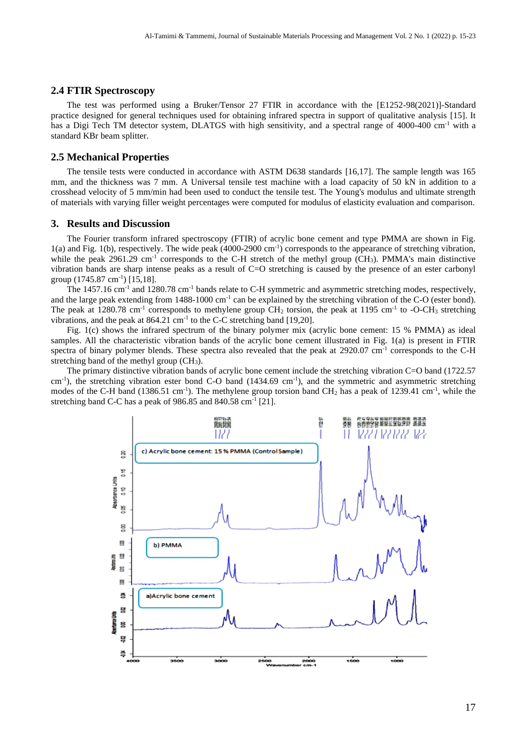#### **2.4 FTIR Spectroscopy**

The test was performed using a Bruker/Tensor 27 FTIR in accordance with the [E1252-98(2021)]-Standard practice designed for general techniques used for obtaining infrared spectra in support of qualitative analysis [15]. It has a Digi Tech TM detector system, DLATGS with high sensitivity, and a spectral range of 4000-400 cm<sup>-1</sup> with a standard KBr beam splitter.

#### **2.5 Mechanical Properties**

The tensile tests were conducted in accordance with ASTM D638 standards [16,17]. The sample length was 165 mm, and the thickness was 7 mm. A Universal tensile test machine with a load capacity of 50 kN in addition to a crosshead velocity of 5 mm/min had been used to conduct the tensile test. The Young's modulus and ultimate strength of materials with varying filler weight percentages were computed for modulus of elasticity evaluation and comparison.

### **3. Results and Discussion**

The Fourier transform infrared spectroscopy (FTIR) of acrylic bone cement and type PMMA are shown in Fig. 1(a) and Fig. 1(b), respectively. The wide peak (4000-2900 cm-1 ) corresponds to the appearance of stretching vibration, while the peak 2961.29 cm<sup>-1</sup> corresponds to the C-H stretch of the methyl group (CH<sub>3</sub>). PMMA's main distinctive vibration bands are sharp intense peaks as a result of C=O stretching is caused by the presence of an ester carbonyl group (1745.87 cm-1 ) [15,18].

The  $1457.16$  cm<sup>-1</sup> and  $1280.78$  cm<sup>-1</sup> bands relate to C-H symmetric and asymmetric stretching modes, respectively, and the large peak extending from  $1488-1000 \text{ cm}^{-1}$  can be explained by the stretching vibration of the C-O (ester bond). The peak at 1280.78 cm<sup>-1</sup> corresponds to methylene group  $CH_2$  torsion, the peak at 1195 cm<sup>-1</sup> to -O-CH<sub>3</sub> stretching vibrations, and the peak at  $864.21 \text{ cm}^{-1}$  to the C-C stretching band [19,20].

Fig. 1(c) shows the infrared spectrum of the binary polymer mix (acrylic bone cement: 15 % PMMA) as ideal samples. All the characteristic vibration bands of the acrylic bone cement illustrated in Fig. 1(a) is present in FTIR spectra of binary polymer blends. These spectra also revealed that the peak at 2920.07 cm<sup>-1</sup> corresponds to the C-H stretching band of the methyl group (CH<sub>3</sub>).

The primary distinctive vibration bands of acrylic bone cement include the stretching vibration C=O band (1722.57) cm<sup>-1</sup>), the stretching vibration ester bond C-O band (1434.69 cm<sup>-1</sup>), and the symmetric and asymmetric stretching modes of the C-H band (1386.51 cm<sup>-1</sup>). The methylene group torsion band CH<sub>2</sub> has a peak of 1239.41 cm<sup>-1</sup>, while the stretching band C-C has a peak of  $986.85$  and  $840.58$  cm<sup>-1</sup> [21].

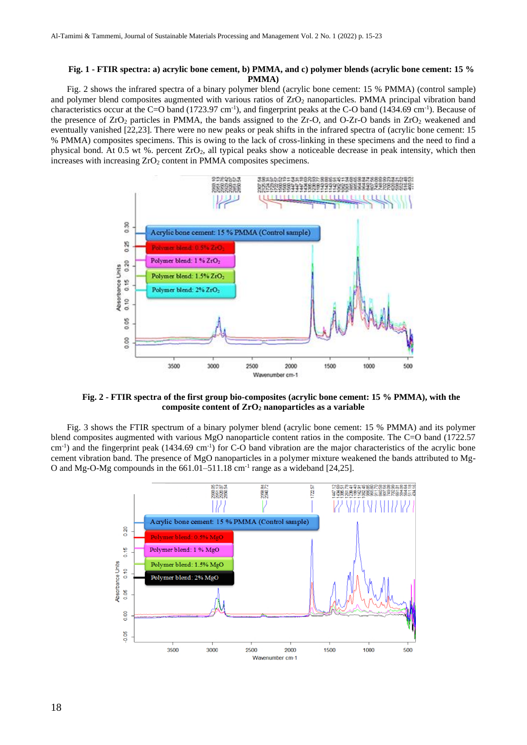#### **Fig. 1 - FTIR spectra: a) acrylic bone cement, b) PMMA, and c) polymer blends (acrylic bone cement: 15 % PMMA)**

Fig. 2 shows the infrared spectra of a binary polymer blend (acrylic bone cement: 15 % PMMA) (control sample) and polymer blend composites augmented with various ratios of ZrO2 nanoparticles. PMMA principal vibration band characteristics occur at the C=O band  $(1723.97 \text{ cm}^{-1})$ , and fingerprint peaks at the C-O band  $(1434.69 \text{ cm}^{-1})$ . Because of the presence of ZrO<sub>2</sub> particles in PMMA, the bands assigned to the Zr-O, and O-Zr-O bands in ZrO<sub>2</sub> weakened and eventually vanished [22,23]. There were no new peaks or peak shifts in the infrared spectra of (acrylic bone cement: 15 % PMMA) composites specimens. This is owing to the lack of cross-linking in these specimens and the need to find a physical bond. At 0.5 wt %. percent  $ZrO<sub>2</sub>$ , all typical peaks show a noticeable decrease in peak intensity, which then increases with increasing  $ZrO<sub>2</sub>$  content in PMMA composites specimens.



**Fig. 2 - FTIR spectra of the first group bio-composites (acrylic bone cement: 15 % PMMA), with the composite content of ZrO<sup>2</sup> nanoparticles as a variable**

Fig. 3 shows the FTIR spectrum of a binary polymer blend (acrylic bone cement: 15 % PMMA) and its polymer blend composites augmented with various MgO nanoparticle content ratios in the composite. The C=O band (1722.57  $\text{cm}^{-1}$ ) and the fingerprint peak (1434.69 cm<sup>-1</sup>) for C-O band vibration are the major characteristics of the acrylic bone cement vibration band. The presence of MgO nanoparticles in a polymer mixture weakened the bands attributed to Mg-O and Mg-O-Mg compounds in the  $661.01-511.18$  cm<sup>-1</sup> range as a wideband [24,25].

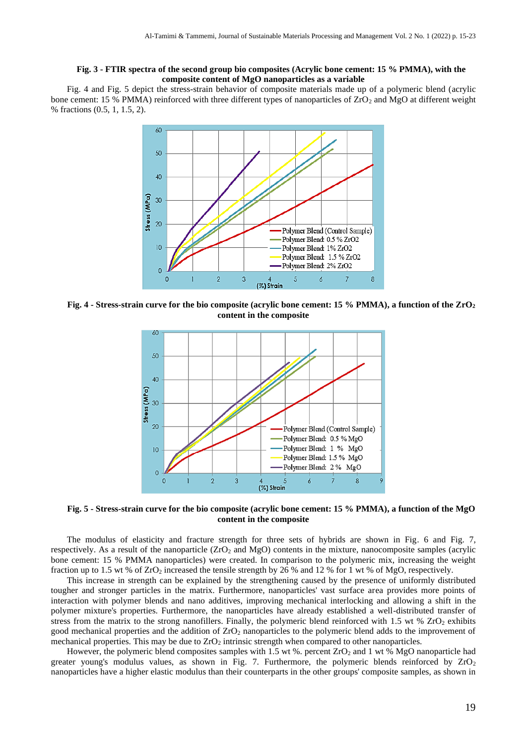#### **Fig. 3 - FTIR spectra of the second group bio composites (Acrylic bone cement: 15 % PMMA), with the composite content of MgO nanoparticles as a variable**

Fig. 4 and Fig. 5 depict the stress-strain behavior of composite materials made up of a polymeric blend (acrylic bone cement: 15 % PMMA) reinforced with three different types of nanoparticles of ZrO<sub>2</sub> and MgO at different weight % fractions (0.5, 1, 1.5, 2).



**Fig. 4 - Stress-strain curve for the bio composite (acrylic bone cement: 15 % PMMA), a function of the ZrO<sup>2</sup> content in the composite**



**Fig. 5 - Stress-strain curve for the bio composite (acrylic bone cement: 15 % PMMA), a function of the MgO content in the composite**

The modulus of elasticity and fracture strength for three sets of hybrids are shown in Fig. 6 and Fig. 7, respectively. As a result of the nanoparticle (ZrO<sup>2</sup> and MgO) contents in the mixture, nanocomposite samples (acrylic bone cement: 15 % PMMA nanoparticles) were created. In comparison to the polymeric mix, increasing the weight fraction up to 1.5 wt % of ZrO<sup>2</sup> increased the tensile strength by 26 % and 12 % for 1 wt % of MgO, respectively.

This increase in strength can be explained by the strengthening caused by the presence of uniformly distributed tougher and stronger particles in the matrix. Furthermore, nanoparticles' vast surface area provides more points of interaction with polymer blends and nano additives, improving mechanical interlocking and allowing a shift in the polymer mixture's properties. Furthermore, the nanoparticles have already established a well-distributed transfer of stress from the matrix to the strong nanofillers. Finally, the polymeric blend reinforced with  $1.5$  wt %  $ZrO<sub>2</sub>$  exhibits good mechanical properties and the addition of  $ZrO<sub>2</sub>$  nanoparticles to the polymeric blend adds to the improvement of mechanical properties. This may be due to  $ZrO<sub>2</sub>$  intrinsic strength when compared to other nanoparticles.

However, the polymeric blend composites samples with 1.5 wt %. percent ZrO<sub>2</sub> and 1 wt % MgO nanoparticle had greater young's modulus values, as shown in Fig. 7. Furthermore, the polymeric blends reinforced by  $ZrO<sub>2</sub>$ nanoparticles have a higher elastic modulus than their counterparts in the other groups' composite samples, as shown in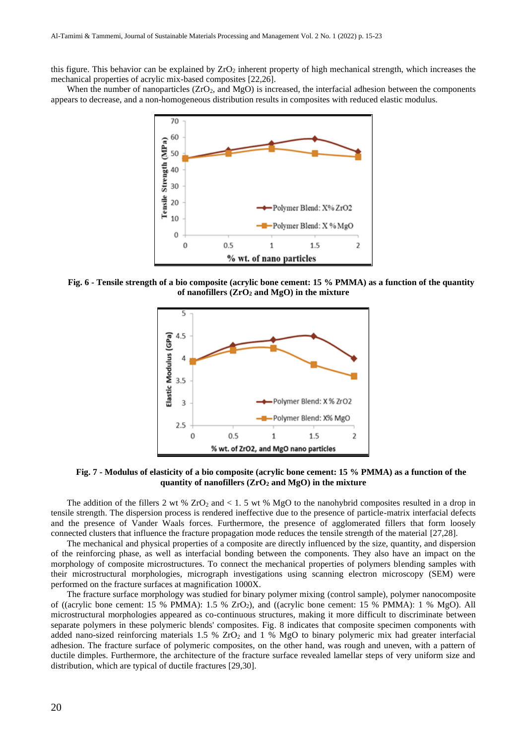this figure. This behavior can be explained by  $ZrO<sub>2</sub>$  inherent property of high mechanical strength, which increases the mechanical properties of acrylic mix-based composites [22,26].

When the number of nanoparticles  $(ZrO<sub>2</sub>)$ , and MgO) is increased, the interfacial adhesion between the components appears to decrease, and a non-homogeneous distribution results in composites with reduced elastic modulus.



**Fig. 6 - Tensile strength of a bio composite (acrylic bone cement: 15 % PMMA) as a function of the quantity of nanofillers (ZrO<sup>2</sup> and MgO) in the mixture**



**Fig. 7 - Modulus of elasticity of a bio composite (acrylic bone cement: 15 % PMMA) as a function of the quantity of nanofillers (ZrO<sup>2</sup> and MgO) in the mixture**

The addition of the fillers 2 wt %  $ZrO_2$  and < 1. 5 wt % MgO to the nanohybrid composites resulted in a drop in tensile strength. The dispersion process is rendered ineffective due to the presence of particle-matrix interfacial defects and the presence of Vander Waals forces. Furthermore, the presence of agglomerated fillers that form loosely connected clusters that influence the fracture propagation mode reduces the tensile strength of the material [27,28].

The mechanical and physical properties of a composite are directly influenced by the size, quantity, and dispersion of the reinforcing phase, as well as interfacial bonding between the components. They also have an impact on the morphology of composite microstructures. To connect the mechanical properties of polymers blending samples with their microstructural morphologies, micrograph investigations using scanning electron microscopy (SEM) were performed on the fracture surfaces at magnification 1000X.

The fracture surface morphology was studied for binary polymer mixing (control sample), polymer nanocomposite of ((acrylic bone cement: 15 % PMMA): 1.5 % ZrO2), and ((acrylic bone cement: 15 % PMMA): 1 % MgO). All microstructural morphologies appeared as co-continuous structures, making it more difficult to discriminate between separate polymers in these polymeric blends' composites. Fig. 8 indicates that composite specimen components with added nano-sized reinforcing materials  $1.5\%$  ZrO<sub>2</sub> and  $1\%$  MgO to binary polymeric mix had greater interfacial adhesion. The fracture surface of polymeric composites, on the other hand, was rough and uneven, with a pattern of ductile dimples. Furthermore, the architecture of the fracture surface revealed lamellar steps of very uniform size and distribution, which are typical of ductile fractures [29,30].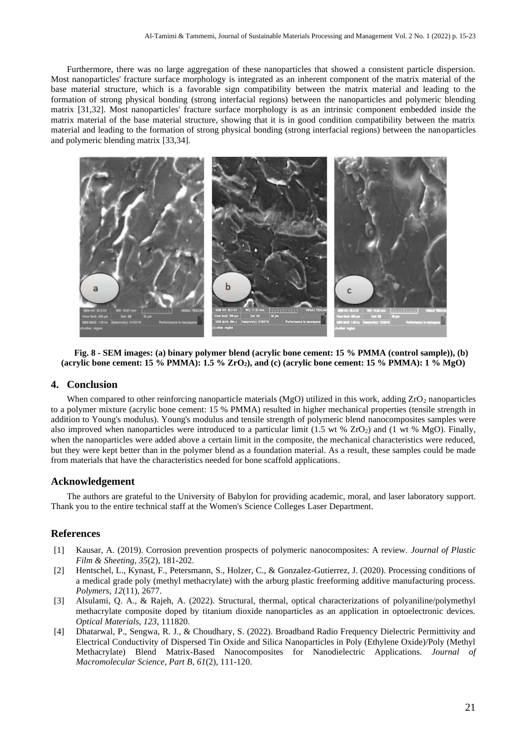Furthermore, there was no large aggregation of these nanoparticles that showed a consistent particle dispersion. Most nanoparticles' fracture surface morphology is integrated as an inherent component of the matrix material of the base material structure, which is a favorable sign compatibility between the matrix material and leading to the formation of strong physical bonding (strong interfacial regions) between the nanoparticles and polymeric blending matrix [31,32]. Most nanoparticles' fracture surface morphology is as an intrinsic component embedded inside the matrix material of the base material structure, showing that it is in good condition compatibility between the matrix material and leading to the formation of strong physical bonding (strong interfacial regions) between the nanoparticles and polymeric blending matrix [33,34].



**Fig. 8 - SEM images: (a) binary polymer blend (acrylic bone cement: 15 % PMMA (control sample)), (b) (acrylic bone cement: 15 % PMMA): 1.5 % ZrO2), and (c) (acrylic bone cement: 15 % PMMA): 1 % MgO)**

#### **4. Conclusion**

When compared to other reinforcing nanoparticle materials (MgO) utilized in this work, adding  $ZrO<sub>2</sub>$  nanoparticles to a polymer mixture (acrylic bone cement: 15 % PMMA) resulted in higher mechanical properties (tensile strength in addition to Young's modulus). Young's modulus and tensile strength of polymeric blend nanocomposites samples were also improved when nanoparticles were introduced to a particular limit (1.5 wt %  $ZrO<sub>2</sub>$ ) and (1 wt %  $MgO$ ). Finally, when the nanoparticles were added above a certain limit in the composite, the mechanical characteristics were reduced, but they were kept better than in the polymer blend as a foundation material. As a result, these samples could be made from materials that have the characteristics needed for bone scaffold applications.

#### **Acknowledgement**

The authors are grateful to the University of Babylon for providing academic, moral, and laser laboratory support. Thank you to the entire technical staff at the Women's Science Colleges Laser Department.

#### **References**

- [1] Kausar, A. (2019). Corrosion prevention prospects of polymeric nanocomposites: A review. *Journal of Plastic Film & Sheeting*, *35*(2), 181-202.
- [2] Hentschel, L., Kynast, F., Petersmann, S., Holzer, C., & Gonzalez-Gutierrez, J. (2020). Processing conditions of a medical grade poly (methyl methacrylate) with the arburg plastic freeforming additive manufacturing process. *Polymers*, *12*(11), 2677.
- [3] Alsulami, Q. A., & Rajeh, A. (2022). Structural, thermal, optical characterizations of polyaniline/polymethyl methacrylate composite doped by titanium dioxide nanoparticles as an application in optoelectronic devices. *Optical Materials*, *123*, 111820.
- [4] Dhatarwal, P., Sengwa, R. J., & Choudhary, S. (2022). Broadband Radio Frequency Dielectric Permittivity and Electrical Conductivity of Dispersed Tin Oxide and Silica Nanoparticles in Poly (Ethylene Oxide)/Poly (Methyl Methacrylate) Blend Matrix-Based Nanocomposites for Nanodielectric Applications. *Journal of Macromolecular Science, Part B*, *61*(2), 111-120.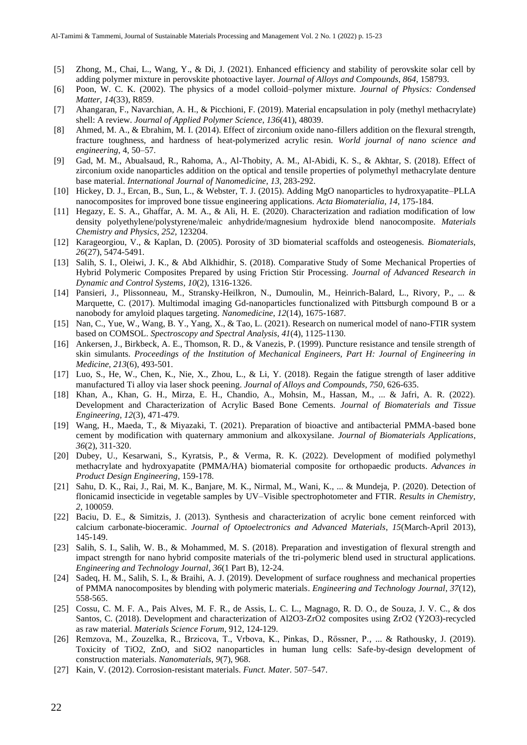- [5] Zhong, M., Chai, L., Wang, Y., & Di, J. (2021). Enhanced efficiency and stability of perovskite solar cell by adding polymer mixture in perovskite photoactive layer. *Journal of Alloys and Compounds*, *864*, 158793.
- [6] Poon, W. C. K. (2002). The physics of a model colloid–polymer mixture. *Journal of Physics: Condensed Matter*, *14*(33), R859.
- [7] Ahangaran, F., Navarchian, A. H., & Picchioni, F. (2019). Material encapsulation in poly (methyl methacrylate) shell: A review. *Journal of Applied Polymer Science*, *136*(41), 48039.
- [8] Ahmed, M. A., & Ebrahim, M. I. (2014). Effect of zirconium oxide nano-fillers addition on the flexural strength, fracture toughness, and hardness of heat-polymerized acrylic resin. *World journal of nano science and engineering*, 4, 50–57.
- [9] Gad, M. M., Abualsaud, R., Rahoma, A., Al-Thobity, A. M., Al-Abidi, K. S., & Akhtar, S. (2018). Effect of zirconium oxide nanoparticles addition on the optical and tensile properties of polymethyl methacrylate denture base material. *International Journal of Nanomedicine*, *13*, 283-292.
- [10] Hickey, D. J., Ercan, B., Sun, L., & Webster, T. J. (2015). Adding MgO nanoparticles to hydroxyapatite–PLLA nanocomposites for improved bone tissue engineering applications. *Acta Biomaterialia*, *14*, 175-184.
- [11] Hegazy, E. S. A., Ghaffar, A. M. A., & Ali, H. E. (2020). Characterization and radiation modification of low density polyethylene/polystyrene/maleic anhydride/magnesium hydroxide blend nanocomposite. *Materials Chemistry and Physics*, *252*, 123204.
- [12] Karageorgiou, V., & Kaplan, D. (2005). Porosity of 3D biomaterial scaffolds and osteogenesis. *Biomaterials*, *26*(27), 5474-5491.
- [13] Salih, S. I., Oleiwi, J. K., & Abd Alkhidhir, S. (2018). Comparative Study of Some Mechanical Properties of Hybrid Polymeric Composites Prepared by using Friction Stir Processing. *Journal of Advanced Research in Dynamic and Control Systems*, *10*(2), 1316-1326.
- [14] Pansieri, J., Plissonneau, M., Stransky-Heilkron, N., Dumoulin, M., Heinrich-Balard, L., Rivory, P., ... & Marquette, C. (2017). Multimodal imaging Gd-nanoparticles functionalized with Pittsburgh compound B or a nanobody for amyloid plaques targeting. *Nanomedicine*, *12*(14), 1675-1687.
- [15] Nan, C., Yue, W., Wang, B. Y., Yang, X., & Tao, L. (2021). Research on numerical model of nano-FTIR system based on COMSOL. *Spectroscopy and Spectral Analysis*, *41*(4), 1125-1130.
- [16] Ankersen, J., Birkbeck, A. E., Thomson, R. D., & Vanezis, P. (1999). Puncture resistance and tensile strength of skin simulants. *Proceedings of the Institution of Mechanical Engineers, Part H: Journal of Engineering in Medicine*, *213*(6), 493-501.
- [17] Luo, S., He, W., Chen, K., Nie, X., Zhou, L., & Li, Y. (2018). Regain the fatigue strength of laser additive manufactured Ti alloy via laser shock peening. *Journal of Alloys and Compounds*, *750*, 626-635.
- [18] Khan, A., Khan, G. H., Mirza, E. H., Chandio, A., Mohsin, M., Hassan, M., ... & Jafri, A. R. (2022). Development and Characterization of Acrylic Based Bone Cements. *Journal of Biomaterials and Tissue Engineering*, *12*(3), 471-479.
- [19] Wang, H., Maeda, T., & Miyazaki, T. (2021). Preparation of bioactive and antibacterial PMMA-based bone cement by modification with quaternary ammonium and alkoxysilane. *Journal of Biomaterials Applications*, *36*(2), 311-320.
- [20] Dubey, U., Kesarwani, S., Kyratsis, P., & Verma, R. K. (2022). Development of modified polymethyl methacrylate and hydroxyapatite (PMMA/HA) biomaterial composite for orthopaedic products. *Advances in Product Design Engineering*, 159-178.
- [21] Sahu, D. K., Rai, J., Rai, M. K., Banjare, M. K., Nirmal, M., Wani, K., ... & Mundeja, P. (2020). Detection of flonicamid insecticide in vegetable samples by UV–Visible spectrophotometer and FTIR. *Results in Chemistry*, *2*, 100059.
- [22] Baciu, D. E., & Simitzis, J. (2013). Synthesis and characterization of acrylic bone cement reinforced with calcium carbonate-bioceramic. *Journal of Optoelectronics and Advanced Materials*, *15*(March-April 2013), 145-149.
- [23] Salih, S. I., Salih, W. B., & Mohammed, M. S. (2018). Preparation and investigation of flexural strength and impact strength for nano hybrid composite materials of the tri-polymeric blend used in structural applications. *Engineering and Technology Journal*, *36*(1 Part B), 12-24.
- [24] Sadeq, H. M., Salih, S. I., & Braihi, A. J. (2019). Development of surface roughness and mechanical properties of PMMA nanocomposites by blending with polymeric materials. *Engineering and Technology Journal*, *37*(12), 558-565.
- [25] Cossu, C. M. F. A., Pais Alves, M. F. R., de Assis, L. C. L., Magnago, R. D. O., de Souza, J. V. C., & dos Santos, C. (2018). Development and characterization of Al2O3-ZrO2 composites using ZrO2 (Y2O3)-recycled as raw material. *Materials Science Forum*, 912, 124-129.
- [26] Remzova, M., Zouzelka, R., Brzicova, T., Vrbova, K., Pinkas, D., Rőssner, P., ... & Rathousky, J. (2019). Toxicity of TiO2, ZnO, and SiO2 nanoparticles in human lung cells: Safe-by-design development of construction materials. *Nanomaterials*, *9*(7), 968.
- [27] Kain, V. (2012). Corrosion-resistant materials. *Funct. Mater.* 507–547.